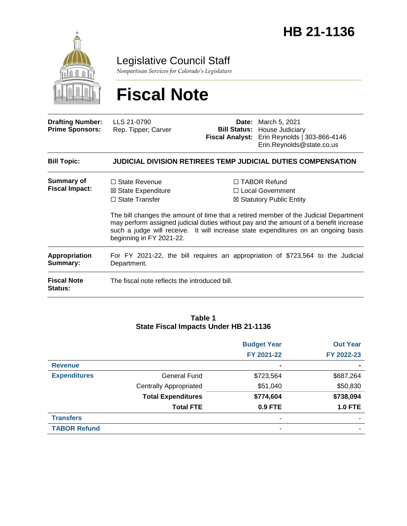

Legislative Council Staff

*Nonpartisan Services for Colorado's Legislature*

# **Fiscal Note**

| <b>Drafting Number:</b><br><b>Prime Sponsors:</b> | LLS 21-0790<br>Rep. Tipper; Carver                                                                                                                                                                                                                                                              | <b>Fiscal Analyst:</b> | <b>Date:</b> March 5, 2021<br><b>Bill Status: House Judiciary</b><br>Erin Reynolds   303-866-4146<br>Erin.Reynolds@state.co.us |  |
|---------------------------------------------------|-------------------------------------------------------------------------------------------------------------------------------------------------------------------------------------------------------------------------------------------------------------------------------------------------|------------------------|--------------------------------------------------------------------------------------------------------------------------------|--|
| <b>Bill Topic:</b>                                |                                                                                                                                                                                                                                                                                                 |                        | <b>JUDICIAL DIVISION RETIREES TEMP JUDICIAL DUTIES COMPENSATION</b>                                                            |  |
| Summary of<br><b>Fiscal Impact:</b>               | $\Box$ State Revenue<br>⊠ State Expenditure<br>$\Box$ State Transfer                                                                                                                                                                                                                            |                        | $\Box$ TABOR Refund<br>□ Local Government<br>⊠ Statutory Public Entity                                                         |  |
|                                                   | The bill changes the amount of time that a retired member of the Judicial Department<br>may perform assigned judicial duties without pay and the amount of a benefit increase<br>such a judge will receive. It will increase state expenditures on an ongoing basis<br>beginning in FY 2021-22. |                        |                                                                                                                                |  |
| <b>Appropriation</b><br>Summary:                  | Department.                                                                                                                                                                                                                                                                                     |                        | For FY 2021-22, the bill requires an appropriation of \$723,564 to the Judicial                                                |  |
| <b>Fiscal Note</b><br><b>Status:</b>              | The fiscal note reflects the introduced bill.                                                                                                                                                                                                                                                   |                        |                                                                                                                                |  |

#### **Table 1 State Fiscal Impacts Under HB 21-1136**

|                     |                               | <b>Budget Year</b> | <b>Out Year</b>          |
|---------------------|-------------------------------|--------------------|--------------------------|
|                     |                               | FY 2021-22         | FY 2022-23               |
| <b>Revenue</b>      |                               | $\blacksquare$     |                          |
| <b>Expenditures</b> | General Fund                  | \$723,564          | \$687,264                |
|                     | <b>Centrally Appropriated</b> | \$51,040           | \$50,830                 |
|                     | <b>Total Expenditures</b>     | \$774,604          | \$738,094                |
|                     | <b>Total FTE</b>              | 0.9 FTE            | <b>1.0 FTE</b>           |
| <b>Transfers</b>    |                               | -                  | $\overline{\phantom{0}}$ |
| <b>TABOR Refund</b> |                               |                    | $\overline{\phantom{0}}$ |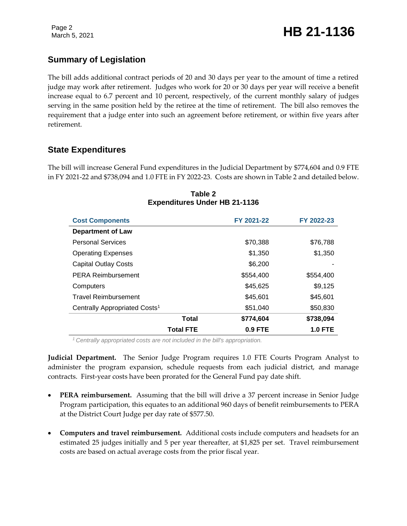# **Summary of Legislation**

The bill adds additional contract periods of 20 and 30 days per year to the amount of time a retired judge may work after retirement. Judges who work for 20 or 30 days per year will receive a benefit increase equal to 6.7 percent and 10 percent, respectively, of the current monthly salary of judges serving in the same position held by the retiree at the time of retirement. The bill also removes the requirement that a judge enter into such an agreement before retirement, or within five years after retirement.

## **State Expenditures**

The bill will increase General Fund expenditures in the Judicial Department by \$774,604 and 0.9 FTE in FY 2021-22 and \$738,094 and 1.0 FTE in FY 2022-23. Costs are shown in Table 2 and detailed below.

| <b>Cost Components</b>                    | FY 2021-22 | FY 2022-23     |
|-------------------------------------------|------------|----------------|
| <b>Department of Law</b>                  |            |                |
| <b>Personal Services</b>                  | \$70,388   | \$76,788       |
| <b>Operating Expenses</b>                 | \$1,350    | \$1,350        |
| <b>Capital Outlay Costs</b>               | \$6,200    |                |
| <b>PERA Reimbursement</b>                 | \$554,400  | \$554,400      |
| Computers                                 | \$45,625   | \$9,125        |
| <b>Travel Reimbursement</b>               | \$45.601   | \$45,601       |
| Centrally Appropriated Costs <sup>1</sup> | \$51,040   | \$50,830       |
| Total                                     | \$774,604  | \$738,094      |
| <b>Total FTE</b>                          | $0.9$ FTE  | <b>1.0 FTE</b> |

### **Table 2 Expenditures Under HB 21-1136**

*<sup>1</sup>Centrally appropriated costs are not included in the bill's appropriation.*

**Judicial Department.** The Senior Judge Program requires 1.0 FTE Courts Program Analyst to administer the program expansion, schedule requests from each judicial district, and manage contracts. First-year costs have been prorated for the General Fund pay date shift.

- **PERA reimbursement.** Assuming that the bill will drive a 37 percent increase in Senior Judge Program participation, this equates to an additional 960 days of benefit reimbursements to PERA at the District Court Judge per day rate of \$577.50.
- **Computers and travel reimbursement.** Additional costs include computers and headsets for an estimated 25 judges initially and 5 per year thereafter, at \$1,825 per set. Travel reimbursement costs are based on actual average costs from the prior fiscal year.